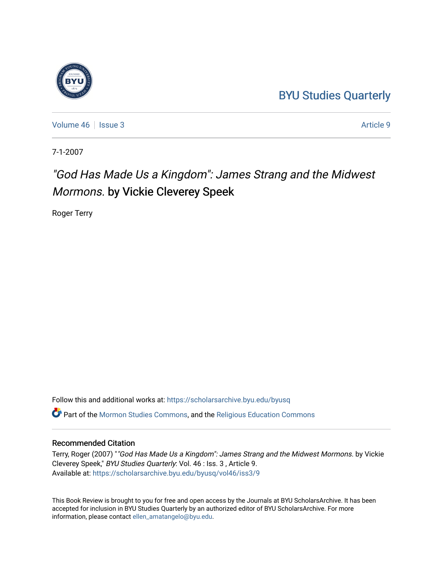# [BYU Studies Quarterly](https://scholarsarchive.byu.edu/byusq)

[Volume 46](https://scholarsarchive.byu.edu/byusq/vol46) | [Issue 3](https://scholarsarchive.byu.edu/byusq/vol46/iss3) Article 9

7-1-2007

# "God Has Made Us a Kingdom": James Strang and the Midwest Mormons. by Vickie Cleverey Speek

Roger Terry

Follow this and additional works at: [https://scholarsarchive.byu.edu/byusq](https://scholarsarchive.byu.edu/byusq?utm_source=scholarsarchive.byu.edu%2Fbyusq%2Fvol46%2Fiss3%2F9&utm_medium=PDF&utm_campaign=PDFCoverPages) 

Part of the [Mormon Studies Commons](http://network.bepress.com/hgg/discipline/1360?utm_source=scholarsarchive.byu.edu%2Fbyusq%2Fvol46%2Fiss3%2F9&utm_medium=PDF&utm_campaign=PDFCoverPages), and the [Religious Education Commons](http://network.bepress.com/hgg/discipline/1414?utm_source=scholarsarchive.byu.edu%2Fbyusq%2Fvol46%2Fiss3%2F9&utm_medium=PDF&utm_campaign=PDFCoverPages) 

## Recommended Citation

Terry, Roger (2007) ""God Has Made Us a Kingdom": James Strang and the Midwest Mormons. by Vickie Cleverey Speek," BYU Studies Quarterly: Vol. 46 : Iss. 3 , Article 9. Available at: [https://scholarsarchive.byu.edu/byusq/vol46/iss3/9](https://scholarsarchive.byu.edu/byusq/vol46/iss3/9?utm_source=scholarsarchive.byu.edu%2Fbyusq%2Fvol46%2Fiss3%2F9&utm_medium=PDF&utm_campaign=PDFCoverPages)

This Book Review is brought to you for free and open access by the Journals at BYU ScholarsArchive. It has been accepted for inclusion in BYU Studies Quarterly by an authorized editor of BYU ScholarsArchive. For more information, please contact [ellen\\_amatangelo@byu.edu.](mailto:ellen_amatangelo@byu.edu)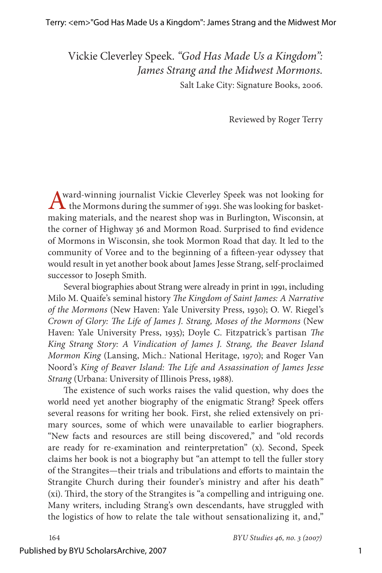Vickie Cleverley Speek. *"God Has Made Us a Kingdom": James Strang and the Midwest Mormons.* Salt Lake City: Signature Books, 2006.

Reviewed by Roger Terry

Award-winning journalist Vickie Cleverley Speek was not looking for the Mormons during the summer of 1991. She was looking for basketmaking materials, and the nearest shop was in Burlington, Wisconsin, at the corner of Highway 36 and Mormon Road. Surprised to find evidence of Mormons in Wisconsin, she took Mormon Road that day. It led to the community of Voree and to the beginning of a fifteen-year odyssey that would result in yet another book about James Jesse Strang, self-proclaimed successor to Joseph Smith.

Several biographies about Strang were already in print in 1991, including Milo M. Quaife's seminal history *The Kingdom of Saint James: A Narrative of the Mormons* (New Haven: Yale University Press, 1930); O. W. Riegel's *Crown of Glory: The Life of James J. Strang, Moses of the Mormons* (New Haven: Yale University Press, 1935); Doyle C. Fitzpatrick's partisan *The King Strang Story: A Vindication of James J. Strang, the Beaver Island Mormon King* (Lansing, Mich.: National Heritage, 1970); and Roger Van Noord's *King of Beaver Island: The Life and Assassination of James Jesse Strang* (Urbana: University of Illinois Press, 1988).

The existence of such works raises the valid question, why does the world need yet another biography of the enigmatic Strang? Speek offers several reasons for writing her book. First, she relied extensively on primary sources, some of which were unavailable to earlier biographers. "New facts and resources are still being discovered," and "old records are ready for re-examination and reinterpretation" (x). Second, Speek claims her book is not a biography but "an attempt to tell the fuller story of the Strangites—their trials and tribulations and efforts to maintain the Strangite Church during their founder's ministry and after his death" (xi). Third, the story of the Strangites is "a compelling and intriguing one. Many writers, including Strang's own descendants, have struggled with the logistics of how to relate the tale without sensationalizing it, and,"

#### Published by BYU ScholarsArchive, 2007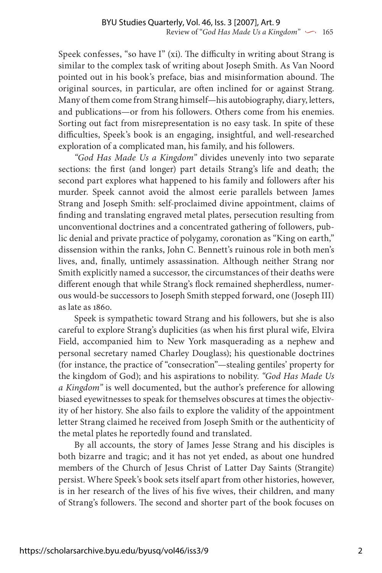Speek confesses, "so have I" (xi). The difficulty in writing about Strang is similar to the complex task of writing about Joseph Smith. As Van Noord pointed out in his book's preface, bias and misinformation abound. The original sources, in particular, are often inclined for or against Strang. Many of them come from Strang himself—his autobiography, diary, letters, and publications—or from his followers. Others come from his enemies. Sorting out fact from misrepresentation is no easy task. In spite of these difficulties, Speek's book is an engaging, insightful, and well-researched exploration of a complicated man, his family, and his followers.

*"God Has Made Us a Kingdom"* divides unevenly into two separate sections: the first (and longer) part details Strang's life and death; the second part explores what happened to his family and followers after his murder. Speek cannot avoid the almost eerie parallels between James Strang and Joseph Smith: self-proclaimed divine appointment, claims of finding and translating engraved metal plates, persecution resulting from unconventional doctrines and a concentrated gathering of followers, public denial and private practice of polygamy, coronation as "King on earth," dissension within the ranks, John C. Bennett's ruinous role in both men's lives, and, finally, untimely assassination. Although neither Strang nor Smith explicitly named a successor, the circumstances of their deaths were different enough that while Strang's flock remained shepherdless, numerous would-be successors to Joseph Smith stepped forward, one (Joseph III) as late as 1860.

Speek is sympathetic toward Strang and his followers, but she is also careful to explore Strang's duplicities (as when his first plural wife, Elvira Field, accompanied him to New York masquerading as a nephew and personal secretary named Charley Douglass); his questionable doctrines (for instance, the practice of "consecration"—stealing gentiles' property for the kingdom of God); and his aspirations to nobility. *"God Has Made Us a Kingdom"* is well documented, but the author's preference for allowing biased eyewitnesses to speak for themselves obscures at times the objectivity of her history. She also fails to explore the validity of the appointment letter Strang claimed he received from Joseph Smith or the authenticity of the metal plates he reportedly found and translated.

By all accounts, the story of James Jesse Strang and his disciples is both bizarre and tragic; and it has not yet ended, as about one hundred members of the Church of Jesus Christ of Latter Day Saints (Strangite) persist. Where Speek's book sets itself apart from other histories, however, is in her research of the lives of his five wives, their children, and many of Strang's followers. The second and shorter part of the book focuses on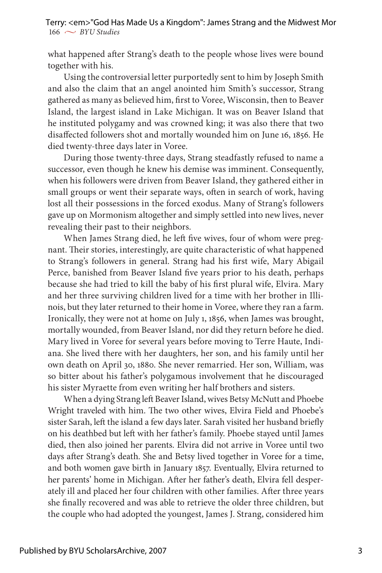what happened after Strang's death to the people whose lives were bound together with his.

Using the controversial letter purportedly sent to him by Joseph Smith and also the claim that an angel anointed him Smith's successor, Strang gathered as many as believed him, first to Voree, Wisconsin, then to Beaver Island, the largest island in Lake Michigan. It was on Beaver Island that he instituted polygamy and was crowned king; it was also there that two disaffected followers shot and mortally wounded him on June 16, 1856. He died twenty-three days later in Voree.

During those twenty-three days, Strang steadfastly refused to name a successor, even though he knew his demise was imminent. Consequently, when his followers were driven from Beaver Island, they gathered either in small groups or went their separate ways, often in search of work, having lost all their possessions in the forced exodus. Many of Strang's followers gave up on Mormonism altogether and simply settled into new lives, never revealing their past to their neighbors.

When James Strang died, he left five wives, four of whom were pregnant. Their stories, interestingly, are quite characteristic of what happened to Strang's followers in general. Strang had his first wife, Mary Abigail Perce, banished from Beaver Island five years prior to his death, perhaps because she had tried to kill the baby of his first plural wife, Elvira. Mary and her three surviving children lived for a time with her brother in Illinois, but they later returned to their home in Voree, where they ran a farm. Ironically, they were not at home on July 1, 1856, when James was brought, mortally wounded, from Beaver Island, nor did they return before he died. Mary lived in Voree for several years before moving to Terre Haute, Indiana. She lived there with her daughters, her son, and his family until her own death on April 30, 1880. She never remarried. Her son, William, was so bitter about his father's polygamous involvement that he discouraged his sister Myraette from even writing her half brothers and sisters.

When a dying Strang left Beaver Island, wives Betsy McNutt and Phoebe Wright traveled with him. The two other wives, Elvira Field and Phoebe's sister Sarah, left the island a few days later. Sarah visited her husband briefly on his deathbed but left with her father's family. Phoebe stayed until James died, then also joined her parents. Elvira did not arrive in Voree until two days after Strang's death. She and Betsy lived together in Voree for a time, and both women gave birth in January 1857. Eventually, Elvira returned to her parents' home in Michigan. After her father's death, Elvira fell desperately ill and placed her four children with other families. After three years she finally recovered and was able to retrieve the older three children, but the couple who had adopted the youngest, James J. Strang, considered him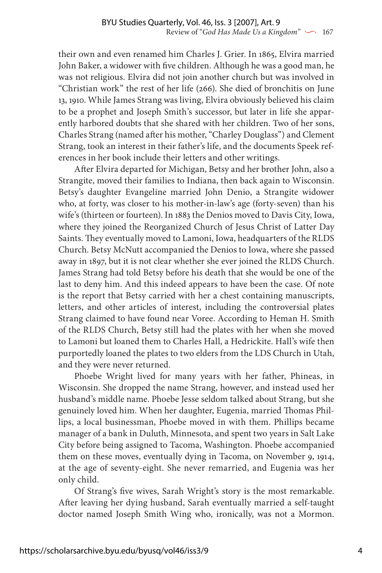their own and even renamed him Charles J. Grier. In 1865, Elvira married John Baker, a widower with five children. Although he was a good man, he was not religious. Elvira did not join another church but was involved in "Christian work" the rest of her life (266). She died of bronchitis on June 13, 1910. While James Strang was living, Elvira obviously believed his claim to be a prophet and Joseph Smith's successor, but later in life she apparently harbored doubts that she shared with her children. Two of her sons, Charles Strang (named after his mother, "Charley Douglass") and Clement Strang, took an interest in their father's life, and the documents Speek references in her book include their letters and other writings.

After Elvira departed for Michigan, Betsy and her brother John, also a Strangite, moved their families to Indiana, then back again to Wisconsin. Betsy's daughter Evangeline married John Denio, a Strangite widower who, at forty, was closer to his mother-in-law's age (forty-seven) than his wife's (thirteen or fourteen). In 1883 the Denios moved to Davis City, Iowa, where they joined the Reorganized Church of Jesus Christ of Latter Day Saints. They eventually moved to Lamoni, Iowa, headquarters of the RLDS Church. Betsy McNutt accompanied the Denios to Iowa, where she passed away in 1897, but it is not clear whether she ever joined the RLDS Church. James Strang had told Betsy before his death that she would be one of the last to deny him. And this indeed appears to have been the case. Of note is the report that Betsy carried with her a chest containing manuscripts, letters, and other articles of interest, including the controversial plates Strang claimed to have found near Voree. According to Heman H. Smith of the RLDS Church, Betsy still had the plates with her when she moved to Lamoni but loaned them to Charles Hall, a Hedrickite. Hall's wife then purportedly loaned the plates to two elders from the LDS Church in Utah, and they were never returned.

Phoebe Wright lived for many years with her father, Phineas, in Wisconsin. She dropped the name Strang, however, and instead used her husband's middle name. Phoebe Jesse seldom talked about Strang, but she genuinely loved him. When her daughter, Eugenia, married Thomas Phillips, a local businessman, Phoebe moved in with them. Phillips became manager of a bank in Duluth, Minnesota, and spent two years in Salt Lake City before being assigned to Tacoma, Washington. Phoebe accompanied them on these moves, eventually dying in Tacoma, on November 9, 1914, at the age of seventy-eight. She never remarried, and Eugenia was her only child.

Of Strang's five wives, Sarah Wright's story is the most remarkable. After leaving her dying husband, Sarah eventually married a self-taught doctor named Joseph Smith Wing who, ironically, was not a Mormon.